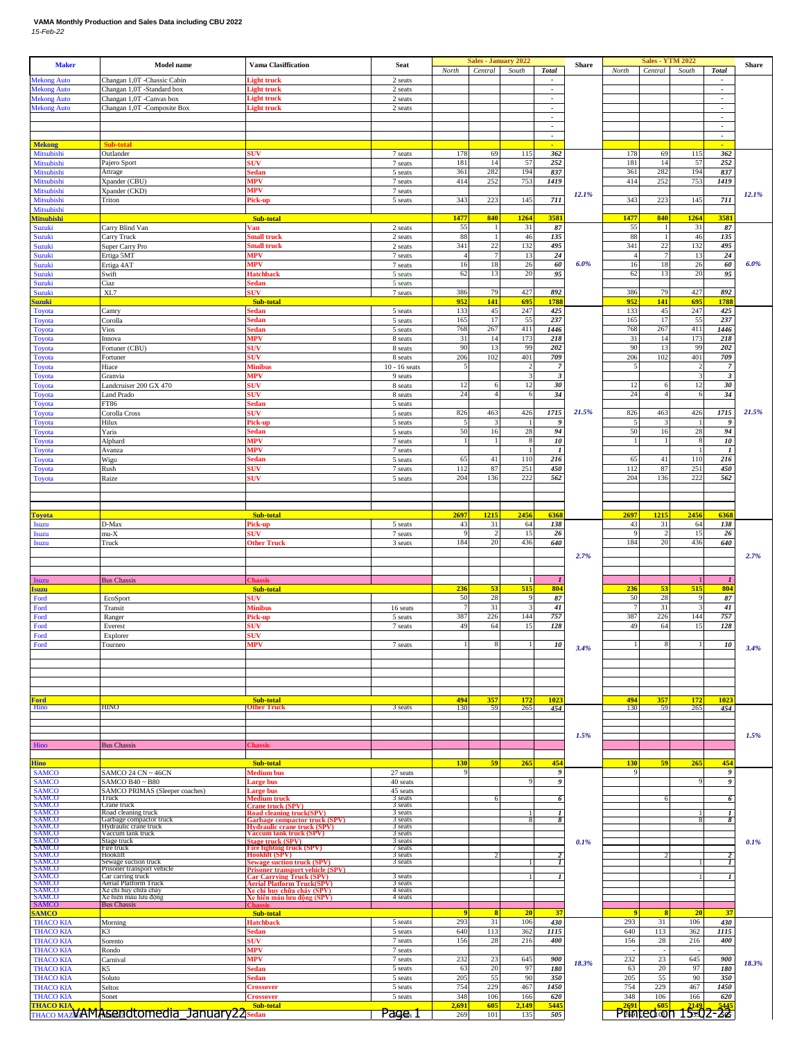## **VAMA Monthly Production and Sales Data including CBU 2022** *15-Feb-22*

| <b>Maker</b>                                                                                             | <b>Model name</b>                                      | <b>Vama Clasiffication</b>                                                              | Seat                       | North               | <b>Sales - January 2022</b><br>Central | South        | <b>Total</b>                                         | Share | North              | <b>Sales - YTM 2022</b><br>Central   | South      | <b>Total</b>                                         | <b>Share</b> |
|----------------------------------------------------------------------------------------------------------|--------------------------------------------------------|-----------------------------------------------------------------------------------------|----------------------------|---------------------|----------------------------------------|--------------|------------------------------------------------------|-------|--------------------|--------------------------------------|------------|------------------------------------------------------|--------------|
| <b>Mekong Auto</b>                                                                                       | Changan 1,0T -Chassic Cabin                            | .ight truck                                                                             | 2 seats                    |                     |                                        |              | $\overline{\phantom{a}}$                             |       |                    |                                      |            | $\overline{\phantom{a}}$                             |              |
| <b>Mekong Auto</b><br><b>Mekong Auto</b>                                                                 | Changan 1,0T -Standard box<br>Changan 1,0T -Canvas box | ight truck<br>light truck                                                               | 2 seats<br>2 seats         |                     |                                        |              | $\overline{\phantom{a}}$<br>$\overline{\phantom{a}}$ |       |                    |                                      |            | $\overline{\phantom{a}}$<br>$\overline{\phantom{a}}$ |              |
| <b>Mekong Auto</b>                                                                                       | Changan 1,0T -Composite Box                            | light truck                                                                             | 2 seats                    |                     |                                        |              | $\overline{\phantom{a}}$                             |       |                    |                                      |            | $\overline{\phantom{a}}$                             |              |
|                                                                                                          |                                                        |                                                                                         |                            |                     |                                        |              | $\overline{\phantom{a}}$<br>$\overline{\phantom{a}}$ |       |                    |                                      |            | $\overline{\phantom{a}}$<br>$\overline{\phantom{a}}$ |              |
|                                                                                                          |                                                        |                                                                                         |                            |                     |                                        |              | $\overline{\phantom{a}}$                             |       |                    |                                      |            | $\overline{\phantom{a}}$                             |              |
| <b>Mekong</b><br>Mitsubishi                                                                              | Sub-total<br>Outlander                                 | suv                                                                                     | 7 seats                    | 178                 | 69                                     | 115          | 362                                                  |       | 178                | 69                                   | 115        | 362                                                  |              |
| Mitsubishi                                                                                               | Pajero Sport                                           | <b>SUV</b>                                                                              | 7 seats                    | 181                 | 14                                     | 57           | 252                                                  |       | 181                | 14                                   | 57         | 252                                                  |              |
| Mitsubishi<br>Mitsubishi                                                                                 | Attrage<br>Xpander (CBU)                               | sedan<br><b>MPV</b>                                                                     | 5 seats<br>7 seats         | 361<br>414          | 282<br>252                             | 194<br>753   | 837<br>1419                                          |       | 361<br>414         | 282<br>252                           | 194<br>753 | 837<br>1419                                          |              |
| Mitsubishi                                                                                               | Xpander (CKD)                                          | ИPV                                                                                     | 7 seats                    |                     |                                        |              |                                                      | 12.1% |                    |                                      |            |                                                      | 12.1%        |
| Mitsubishi<br>Mitsubishi                                                                                 | Triton                                                 | ick-up                                                                                  | 5 seats                    | 343                 | 223                                    | 145          | 711                                                  |       | 343                | 223                                  | 145        | 711                                                  |              |
| <b>Mitsubishi</b>                                                                                        |                                                        | Sub-total                                                                               |                            | 1477                | 840                                    | 1264         | 3581                                                 |       | 1477               | 840                                  | 1264       | 3581                                                 |              |
| Suzuki<br>Suzuki                                                                                         | Carry Blind Van<br>Carry Truck                         | ∕an<br>mall truck                                                                       | 2 seats<br>2 seats         | 55<br>88            | $\overline{1}$                         | 31<br>46     | 87<br>135                                            |       | 55<br>88           |                                      | 31<br>46   | 87<br>135                                            |              |
| Suzuki                                                                                                   | Super Carry Pro                                        | mall truck                                                                              | 2 seats                    | 341                 | 22                                     | 132          | 495                                                  |       | 341                | 22                                   | 132        | 495                                                  |              |
| Suzuki<br>Suzuki                                                                                         | Ertiga 5MT<br>Ertiga 4AT                               | <b>MPV</b><br><b>MPV</b>                                                                | 7 seats<br>7 seats         | 16                  | 7<br>18                                | 13<br>26     | 24<br>60                                             | 6.0%  | 16                 | 18                                   | 13<br>26   | $\bf{24}$<br>60                                      | 6.0%         |
| Suzuki                                                                                                   | Swift                                                  | Hatchback                                                                               | 5 seats                    | 62                  | 13                                     | 20           | 95                                                   |       | 62                 | 13                                   | 20         | 95                                                   |              |
| Suzuki<br>Suzuki                                                                                         | Ciaz<br>XL7                                            | sedan<br><b>SUV</b>                                                                     | 5 seats<br>7 seats         | 386                 | 79                                     | 427          | 892                                                  |       | 386                | 79                                   | 427        | 892                                                  |              |
| <b>Suzuki</b>                                                                                            |                                                        | Sub-tota                                                                                |                            | 952                 | 141                                    | 695          | 1788                                                 |       | 952                | 141                                  | 695        | 178                                                  |              |
| Toyota<br>Toyota                                                                                         | Camry<br>Corolla                                       | iedan<br>edan                                                                           | 5 seats<br>5 seats         | 133<br>165          | 45<br>17                               | 247<br>55    | 425<br>237                                           |       | 133<br>165         | 45<br>17                             | 247<br>55  | 425<br>237                                           |              |
| <b>Toyota</b>                                                                                            | Vios                                                   | iedan                                                                                   | 5 seats                    | 768                 | 267                                    | 411          | 1446                                                 |       | 768                | 267                                  | 411        | 1446                                                 |              |
| <b>Toyota</b><br><b>Toyota</b>                                                                           | Innova<br>Fortuner (CBU)                               | MPV<br><b>SUV</b>                                                                       | 8 seats<br>8 seats         | 31<br>90            | 14<br>13                               | 173<br>99    | 218<br>202                                           |       | 31<br>90           | 14<br>13                             | 173<br>99  | 218<br>202                                           |              |
| Toyota                                                                                                   | Fortuner                                               | SUV                                                                                     | 8 seats                    | 206                 | 102                                    | 401          | 709                                                  |       | 206                | 102                                  | 401        | 709                                                  |              |
| <b>Toyota</b><br><b>Toyota</b>                                                                           | Hiace<br>Granvia                                       | Minibus<br>MPV                                                                          | $10 - 16$ seats<br>9 seats |                     |                                        | 3            | $\overline{7}$<br>$\boldsymbol{\beta}$               |       |                    |                                      | 3          | 7<br>$\boldsymbol{\beta}$                            |              |
| Toyota                                                                                                   | Landcruiser 200 GX 470                                 | <b>SUV</b>                                                                              | 8 seats                    | 12                  | $\epsilon$                             | 12           | 30                                                   |       | 12                 |                                      | 12         | 30                                                   |              |
| <b>Toyota</b><br><b>Toyota</b>                                                                           | <b>Land Prado</b><br>FT86                              | suv<br>sedan                                                                            | 8 seats<br>5 seats         | 24                  |                                        | 6            | 34                                                   |       | 24                 |                                      |            | 34                                                   |              |
| Toyota                                                                                                   | Corolla Cross                                          | <b>SUV</b>                                                                              | 5 seats                    | 826                 | 463                                    | 426          | 1715                                                 | 21.5% | 826                | 463                                  | 426        | 1715                                                 | 21.5%        |
| <b>Toyota</b><br><b>Toyota</b>                                                                           | Hilux<br>Yaris                                         | Pick-up<br>sedan                                                                        | 5 seats<br>5 seats         | 50                  | 16                                     | 28           | 9<br>94                                              |       | 50                 | 16                                   | 28         | S<br>94                                              |              |
| <b>Toyota</b>                                                                                            | Alphard                                                | MPV                                                                                     | 7 seats                    |                     |                                        | ş            | 10                                                   |       |                    |                                      |            | 10                                                   |              |
| <b>Toyota</b>                                                                                            | Avanza<br>Wigo                                         | <b>MPV</b><br>sedan                                                                     | 7 seats                    | 65                  | 41                                     | 110          | $\mathbf{I}$<br>216                                  |       | 65                 | 41                                   | 110        | $\mathbf{I}$<br>216                                  |              |
| Toyota<br><b>Toyota</b>                                                                                  | Rush                                                   | <b>SUV</b>                                                                              | 5 seats<br>7 seats         | 112                 | 87                                     | 251          | 450                                                  |       | 112                | 87                                   | 251        | 450                                                  |              |
| Toyota                                                                                                   | Raize                                                  | suv                                                                                     | 5 seats                    | 204                 | 136                                    | 222          | 562                                                  |       | 204                | 136                                  | 222        | 562                                                  |              |
|                                                                                                          |                                                        |                                                                                         |                            |                     |                                        |              |                                                      |       |                    |                                      |            |                                                      |              |
| <b>Toyota</b>                                                                                            |                                                        | Sub-total                                                                               |                            | 2697                | 1215                                   | 2456         | 6368                                                 |       | 2697               | 121 <sup>1</sup>                     | 2456       | 6368                                                 |              |
| <b>Isuzu</b>                                                                                             | D-Max                                                  | ick-up                                                                                  | 5 seats                    | 43                  | 31                                     | 64           | 138                                                  |       | 43                 | 31                                   | 64         | 138                                                  |              |
| <b>Isuzu</b>                                                                                             | $mu-X$                                                 | 5UV<br><b>Other Truck</b>                                                               | 7 seats                    | <sup>q</sup><br>184 | 2<br>20                                | 15<br>436    | 26<br>640                                            |       | $\mathbf Q$<br>184 | 20                                   | 15<br>436  | 26<br>640                                            |              |
| <b>Isuzu</b>                                                                                             | Truck                                                  |                                                                                         | 3 seats                    |                     |                                        |              |                                                      | 2.7%  |                    |                                      |            |                                                      | 2.7%         |
|                                                                                                          |                                                        |                                                                                         |                            |                     |                                        |              |                                                      |       |                    |                                      |            |                                                      |              |
| <b>Isuzu</b>                                                                                             | <b>Bus Chassis</b>                                     | <b>Thassis</b>                                                                          |                            |                     |                                        |              |                                                      |       |                    |                                      |            |                                                      |              |
| <b>Isuzu</b><br>Ford                                                                                     | EcoSport                                               | Sub-total<br><b>UV</b>                                                                  |                            | 236<br>50           | 53<br>28                               | 515<br>9     | 804<br>87                                            |       | 236<br>50          | 53<br>28                             | 515<br>9   | 804<br>87                                            |              |
| Ford                                                                                                     | Transit                                                | <b>Ainibus</b>                                                                          | 16 seats                   |                     | 31                                     | 3            | $41$                                                 |       |                    | 31                                   |            | 41                                                   |              |
| Ford<br>Ford                                                                                             | Ranger<br>Everest                                      | <sup>&gt;</sup> ick-up<br><b>SUV</b>                                                    | 5 seats<br>7 seats         | 387<br>49           | 226<br>64                              | 144<br>15    | 757<br>128                                           |       | 387<br>49          | 226<br>64                            | 144<br>15  | 757<br>128                                           |              |
| Ford                                                                                                     | Explorer                                               | <b>SUV</b>                                                                              |                            |                     |                                        |              |                                                      |       |                    |                                      |            |                                                      |              |
| Ford                                                                                                     | Tourneo                                                | ÆV                                                                                      | 7 seats                    |                     |                                        |              | 10                                                   | 3.4%  |                    |                                      |            | 10                                                   | 3.4%         |
|                                                                                                          |                                                        |                                                                                         |                            |                     |                                        |              |                                                      |       |                    |                                      |            |                                                      |              |
|                                                                                                          |                                                        |                                                                                         |                            |                     |                                        |              |                                                      |       |                    |                                      |            |                                                      |              |
|                                                                                                          |                                                        |                                                                                         |                            |                     |                                        |              |                                                      |       |                    |                                      |            |                                                      |              |
| <b>Ford</b><br>Hino                                                                                      | HINO                                                   | Sub-total<br>Other Truck                                                                | 3 seats                    | 494<br>130          | 357<br>59                              | 172<br>265   | 1023<br>454                                          |       | 494<br>130         | 357<br>59                            | 172<br>265 | 1023<br>454                                          |              |
|                                                                                                          |                                                        |                                                                                         |                            |                     |                                        |              |                                                      |       |                    |                                      |            |                                                      |              |
|                                                                                                          |                                                        |                                                                                         |                            |                     |                                        |              |                                                      | 1.5%  |                    |                                      |            |                                                      | 1.5%         |
| Hino                                                                                                     | <b>Bus Chassis</b>                                     | <b>Thassis</b>                                                                          |                            |                     |                                        |              |                                                      |       |                    |                                      |            |                                                      |              |
| <b>Hino</b>                                                                                              |                                                        | Sub-total                                                                               |                            | 130                 | 59                                     | 265          | 454                                                  |       | <b>130</b>         | 59                                   | 265        | 454                                                  |              |
| <b>SAMCO</b>                                                                                             | SAMCO 24 CN ~ 46CN                                     | Medium bus                                                                              | 27 seats                   | 9                   |                                        |              | 9                                                    |       | 9                  |                                      |            | 9                                                    |              |
| <b>SAMCO</b><br><b>SAMCO</b>                                                                             | SAMCO B40 $\sim$ B80<br>SAMCO PRIMAS (Sleeper coaches) | arge bus<br><b>Large bus</b>                                                            | 40 seats<br>45 seats       |                     |                                        |              | $\boldsymbol{g}$                                     |       |                    |                                      |            | 9                                                    |              |
|                                                                                                          | Truck<br>Crane truck                                   | <u>Aedium truck</u><br>Crane truck (SPV)                                                | 3 seats<br>3 seats         |                     | -6                                     |              | 6                                                    |       |                    |                                      |            | 6                                                    |              |
|                                                                                                          | Road cleaning truck<br>Garbage compactor truck         | <b>Road cleaning truck(SPV)</b>                                                         | 3 seats<br>3 seats         |                     |                                        |              | 8                                                    |       |                    |                                      |            |                                                      |              |
|                                                                                                          | Hydraulic crane truck<br>Vaccum tank truck             | Garbage compactor truck (SPV)<br>Hydraulic crane truck (SPV)<br>Vaccum tank truck (SPV) | 3 seats<br>3 seats         |                     |                                        |              |                                                      |       |                    |                                      |            |                                                      |              |
|                                                                                                          | Stage truck<br>Fire truck                              | Stage truck (SPV)<br>Fire fighting truck (SPV)                                          | 3 seats                    |                     |                                        |              |                                                      | 0.1%  |                    |                                      |            |                                                      | 0.1%         |
|                                                                                                          | Hooklift                                               | Iooklift (SPV)                                                                          | 7 seats<br>3 seats         |                     |                                        |              |                                                      |       |                    |                                      |            |                                                      |              |
| SAMCO<br>SAMCO<br>SAMCO<br>SAMCO<br>SAMCO<br>SAMCO<br>SAMCO<br>SAMCO<br>SAMCO<br>SAMCO<br>SAMCO<br>SAMCO | Sewage suction truck<br>Prisoner transport vehicle     | ewage suction truck (SPV)<br><b>Prisoner transport vehicle (SPV)</b>                    | 3 seats                    |                     |                                        |              |                                                      |       |                    |                                      |            |                                                      |              |
|                                                                                                          | Car carring truck<br><b>Aerial Platform Truck</b>      | <b>Car Carrying Truck (SPV)</b><br><b>Aerial Platform Truck(SPV)</b>                    | 3 seats<br>3 seats         |                     |                                        |              |                                                      |       |                    |                                      |            |                                                      |              |
| <b>SAMCO</b><br>SAMCO                                                                                    | Xe chỉ huy chữa cháy<br>Xe hiên máu lưu động           | <u>če chỉ huy chữa cháy (SPV)</u><br><u>e hiền máu lưu đông (SPV)</u>                   | 4 seats<br>4 seats         |                     |                                        |              |                                                      |       |                    |                                      |            |                                                      |              |
| <b>SAMCO</b>                                                                                             | <b>Bus Chassis</b>                                     | Sub-total                                                                               |                            | ø                   |                                        | 20           | 37                                                   |       |                    |                                      | 20         | $\mathbf{v}$                                         |              |
| <b>THACO KIA</b>                                                                                         | Morning                                                | <b>Hatchback</b>                                                                        | 5 seats                    | 293                 | 31                                     | 106          | 430                                                  |       | 293                | 31                                   | 106        | 430                                                  |              |
| <b>THACO KIA</b><br><b>THACO KIA</b>                                                                     | K3<br>Sorento                                          | sedan<br><b>SUV</b>                                                                     | 5 seats<br>7 seats         | 640<br>156          | 113<br>28                              | 362<br>216   | 1115<br>400                                          |       | 640<br>156         | 113<br>28                            | 362<br>216 | 1115<br>400                                          |              |
| <b>THACO KIA</b>                                                                                         | Rondo                                                  | <b>MPV</b>                                                                              | 7 seats                    |                     |                                        |              |                                                      |       |                    |                                      |            |                                                      |              |
| <b>THACO KIA</b><br><b>THACO KIA</b>                                                                     | Carnival<br>K5                                         | MPV<br>iedan                                                                            | 7 seats<br>5 seats         | 232<br>63           | 23<br>20                               | 645<br>97    | 900<br>180                                           | 18.3% | 232<br>63          | 23<br>20                             | 645<br>97  | 900<br>180                                           | 18.3%        |
| <b>THACO KIA</b>                                                                                         | Soluto                                                 | iedan                                                                                   | 5 seats                    | 205                 | 55                                     | 90           | 350                                                  |       | 205                | 55                                   | 90         | 350                                                  |              |
| <b>THACO KIA</b><br><b>THACO KIA</b>                                                                     | Seltos<br>Sonet                                        | <b>Crossover</b><br>Crossover                                                           | 5 seats<br>5 seats         | 754<br>348          | 229<br>106                             | 467<br>166   | 1450<br>620                                          |       | 754<br>348         | 229<br>106                           | 467<br>166 | 1450<br>620                                          |              |
| <b>THACO KIA</b>                                                                                         | THACO MAZVAMAS endtomedia January 22 Sedan             | Sub-total                                                                               | Page 1                     | 2,691<br>269        | 605<br>101                             | 2,149<br>135 | 5445<br>505                                          |       | 2691               | 60 <sub>2</sub><br><b>PEINTECHON</b> | 2149       | 544<br>15:02-22                                      |              |
|                                                                                                          |                                                        |                                                                                         |                            |                     |                                        |              |                                                      |       |                    |                                      |            |                                                      |              |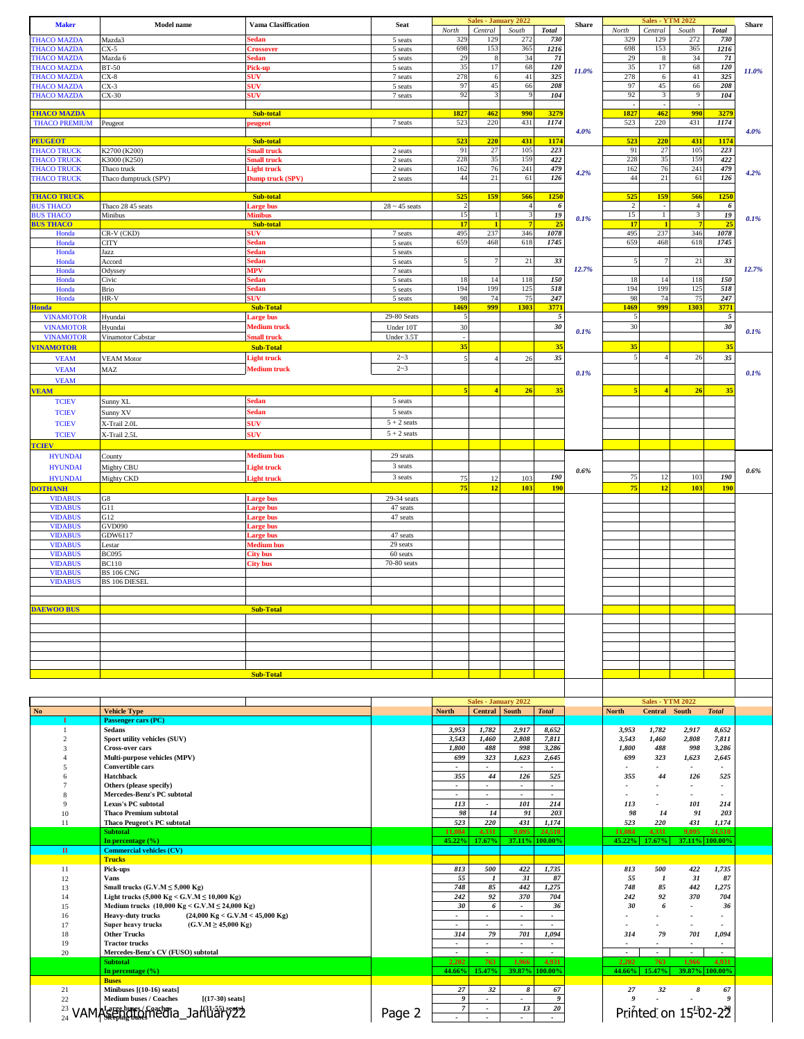| <b>Maker</b>                             | <b>Model name</b>                                                                                                      | <b>Vama Clasiffication</b>                | <b>Seat</b>                    | North                                                | <b>Sales - January 2022</b><br>Central       | South                                     | <b>Total</b>                                         | Share     | North                 | <b>Sales - YTM 2022</b><br>Central       | South                             | <b>Total</b>                      | <b>Share</b> |
|------------------------------------------|------------------------------------------------------------------------------------------------------------------------|-------------------------------------------|--------------------------------|------------------------------------------------------|----------------------------------------------|-------------------------------------------|------------------------------------------------------|-----------|-----------------------|------------------------------------------|-----------------------------------|-----------------------------------|--------------|
| <b>THACO MAZDA</b>                       | Mazda3                                                                                                                 | iedan                                     | 5 seats                        | 329                                                  | 129                                          | 272                                       | 730                                                  |           | 329                   | 129                                      | 272                               | 730                               |              |
| <b>THACO MAZDA</b><br><b>THACO MAZDA</b> | CX-5<br>Mazda 6                                                                                                        | <b>Crossover</b><br>sedan                 | 5 seats<br>5 seats             | 698<br>29                                            | 153<br>8                                     | 365<br>34                                 | 1216<br>71                                           |           | 698<br>29             | 153<br>8                                 | 365<br>34                         | 1216<br>71                        |              |
| <b>THACO MAZDA</b>                       | <b>BT-50</b>                                                                                                           | Pick-up                                   | 5 seats                        | 35                                                   | 17                                           | 68                                        | 120                                                  | 11.0%     | 35                    | 17                                       | 68                                | 120                               | 11.0%        |
| <b>THACO MAZDA</b><br><b>THACO MAZDA</b> | $CX-8$<br>$CX-3$                                                                                                       | <b>SUV</b><br><b>SUV</b>                  | 7 seats<br>5 seats             | 278<br>97                                            | 6<br>45                                      | $41\,$<br>66                              | 325<br>208                                           |           | 278<br>97             | 6<br>45                                  | 41<br>66                          | 325<br>208                        |              |
| <b>THACO MAZDA</b>                       | $CX-30$                                                                                                                | 5UV                                       | 7 seats                        | 92                                                   | 3                                            | 9                                         | 104                                                  |           | 92                    | 3                                        | 9                                 | 104                               |              |
| <b>THACO MAZDA</b>                       |                                                                                                                        | Sub-total                                 |                                | 1827                                                 | 462                                          | 990                                       | 3279                                                 |           | 1827                  | 462                                      | 990                               | 3279                              |              |
| <b>THACO PREMIUM</b>                     | Peugeot                                                                                                                | eugeot                                    | 7 seats                        | 523                                                  | 220                                          | 431                                       | 1174                                                 |           | 523                   | 220                                      | 431                               | 1174                              | 4.0%         |
| <b>PEUGEOT</b>                           |                                                                                                                        | Sub-total                                 |                                | 523                                                  | 220                                          | 431                                       | 1174                                                 | 4.0%      | 523                   | 220                                      | 431                               | 1174                              |              |
| <b>THACO TRUCK</b>                       | K2700 (K200)                                                                                                           | mall truck                                | 2 seats                        | 91                                                   | 27                                           | 105                                       | 223                                                  |           | 91                    | 27                                       | 105                               | 223                               |              |
| <b>THACO TRUCK</b><br><b>THACO TRUCK</b> | K3000 (K250)<br>Thaco truck                                                                                            | mall truck<br>Light truck                 | 2 seats<br>2 seats             | 228<br>162                                           | 35<br>76                                     | 159<br>241                                | 422<br>479                                           | 4.2%      | 228<br>162            | 35<br>76                                 | 159<br>241                        | 422<br>479                        | 4.2%         |
| <b>THACO TRUCK</b>                       | Thaco dumptruck (SPV)                                                                                                  | Dump truck (SPV)                          | 2 seats                        | 44                                                   | 21                                           | 61                                        | 126                                                  |           | 44                    | 21                                       | 61                                | 126                               |              |
| <b>THACO TRUCK</b>                       |                                                                                                                        | Sub-total                                 |                                | 525                                                  | 159                                          | 566                                       | 1250                                                 |           | 525                   | 159                                      | 566                               | 1250                              |              |
| <b>BUS THACO</b><br><b>BUS THACO</b>     | Thaco 28 45 seats<br>Minibus                                                                                           | arge bus<br>Minibus                       | $28 \sim 45$ seats             | $\overline{2}$<br>15                                 |                                              | $\overline{4}$<br>$\overline{\mathbf{3}}$ | 6<br>19                                              |           | $\overline{c}$<br>15  | $\mathbf{1}$                             | $\overline{4}$<br>$\overline{3}$  | -6<br>${\it 19}$                  |              |
| <b>BUS THACO</b>                         |                                                                                                                        | Sub-total                                 |                                | 17                                                   | $\mathbf{1}$                                 | $\overline{7}$                            | 25                                                   | 0.1%      | 17                    | -1                                       | 7                                 | 25                                | 0.1%         |
| Honda<br>Honda                           | CR-V (CKD)<br>CITY                                                                                                     | 5UV.<br>edan                              | 7 seats<br>5 seats             | 495<br>659                                           | 237<br>468                                   | 346<br>618                                | 1078<br>1745                                         |           | 495<br>659            | 237<br>468                               | 346<br>618                        | 1078<br>1745                      |              |
| Honda                                    | Jazz                                                                                                                   | iedan                                     | 5 seats                        |                                                      |                                              |                                           |                                                      |           |                       |                                          |                                   |                                   |              |
| Honda<br>Honda                           | Accord<br>Odyssey                                                                                                      | sedan<br>MPV                              | 5 seats<br>7 seats             |                                                      | $\overline{7}$                               | 21                                        | 33                                                   | 12.7%     | 5                     | $\overline{7}$                           | 21                                | 33                                | 12.7%        |
| Honda                                    | Civic                                                                                                                  | iedan                                     | 5 seats                        | 18                                                   | 14                                           | 118                                       | 150                                                  |           | 18                    | 14                                       | 118                               | 150                               |              |
| Honda                                    | Brio                                                                                                                   | sedan                                     | 5 seats                        | 194<br>98                                            | 199<br>74                                    | 125<br>75                                 | 518                                                  |           | 194<br>98             | 199<br>74                                | 125<br>75                         | 518<br>247                        |              |
| Honda<br><b>Honda</b>                    | HR-V                                                                                                                   | <b>iUV</b><br><b>Sub-Total</b>            | 5 seats                        | 1469                                                 | 999                                          | 1303                                      | 247<br>3771                                          |           | 1469                  | 999                                      | 1303                              | 3771                              |              |
| <b>VINAMOTOR</b>                         | Hyundai                                                                                                                | <b>Large bus</b>                          | 29-80 Seats                    |                                                      |                                              |                                           | $\sqrt{5}$                                           |           | 5                     |                                          |                                   | $\sqrt{5}$                        |              |
| <b>VINAMOTOR</b><br><b>VINAMOTOR</b>     | Hyundai<br>Vinamotor Cabstar                                                                                           | <b>Medium</b> truck<br><b>Small</b> truck | Under 10T<br>Under 3.5T        | 30                                                   |                                              |                                           | 30                                                   | 0.1%      | 30                    |                                          |                                   | $3\theta$                         | 0.1%         |
| <b>VINAMOTOR</b>                         |                                                                                                                        | <b>Sub-Total</b>                          |                                | 35                                                   |                                              |                                           | 35                                                   |           | 35                    |                                          |                                   | 35                                |              |
| <b>VEAM</b>                              | <b>VEAM Motor</b>                                                                                                      | <b>Light truck</b>                        | $2 - 3$                        |                                                      |                                              | 26                                        | 35                                                   |           | $\sqrt{5}$            |                                          | 26                                | 35                                |              |
| <b>VEAM</b>                              | MAZ                                                                                                                    | <b>Medium truck</b>                       | $2 - 3$                        |                                                      |                                              |                                           |                                                      | 0.1%      |                       |                                          |                                   |                                   | 0.1%         |
| <b>VEAM</b><br><b>VEAM</b>               |                                                                                                                        |                                           |                                | 5                                                    | $\overline{4}$                               | 26                                        | 35                                                   |           | 5                     | $\overline{4}$                           | 26                                | 35                                |              |
| <b>TCIEV</b>                             | Sunny XL                                                                                                               | Sedan                                     | 5 seats                        |                                                      |                                              |                                           |                                                      |           |                       |                                          |                                   |                                   |              |
| <b>TCIEV</b>                             | Sunny XV                                                                                                               | <b>Sedan</b>                              | 5 seats                        |                                                      |                                              |                                           |                                                      |           |                       |                                          |                                   |                                   |              |
| <b>TCIEV</b>                             | X-Trail 2.0L                                                                                                           | <b>sUV</b><br><b>sUV</b>                  | $5 + 2$ seats<br>$5 + 2$ seats |                                                      |                                              |                                           |                                                      |           |                       |                                          |                                   |                                   |              |
| <b>TCIEV</b><br><b>TCIEV</b>             | X-Trail 2.5L                                                                                                           |                                           |                                |                                                      |                                              |                                           |                                                      |           |                       |                                          |                                   |                                   |              |
| <b>HYUNDAI</b>                           | County                                                                                                                 | <b>Medium</b> bus                         | 29 seats                       |                                                      |                                              |                                           |                                                      |           |                       |                                          |                                   |                                   |              |
| <b>HYUNDAI</b>                           | Mighty CBU                                                                                                             | <b>Light truck</b>                        | 3 seats                        |                                                      |                                              |                                           |                                                      | 0.6%      |                       |                                          |                                   |                                   | 0.6%         |
| <b>HYUNDAI</b>                           | Mighty CKD                                                                                                             | <b>Light truck</b>                        | 3 seats                        | 75<br>75                                             | 12<br>12                                     | 103<br>103                                | 190<br><b>190</b>                                    |           | 75<br>75              | 12<br>12                                 | 103<br>103                        | 190<br><b>190</b>                 |              |
| <b>DOTHANH</b><br><b>VIDABUS</b>         | ${\rm G}8$                                                                                                             | Large bus                                 | 29-34 seats                    |                                                      |                                              |                                           |                                                      |           |                       |                                          |                                   |                                   |              |
| <b>VIDABUS</b>                           | G11                                                                                                                    | <b>Large bus</b>                          | 47 seats                       |                                                      |                                              |                                           |                                                      |           |                       |                                          |                                   |                                   |              |
| <b>VIDABUS</b><br><b>VIDABUS</b>         | G12<br><b>GVD090</b>                                                                                                   | Large bus<br>Large bus                    | 47 seats                       |                                                      |                                              |                                           |                                                      |           |                       |                                          |                                   |                                   |              |
| <b>VIDABUS</b>                           | GDW6117                                                                                                                | Large bus                                 | 47 seats                       |                                                      |                                              |                                           |                                                      |           |                       |                                          |                                   |                                   |              |
| <b>VIDABUS</b><br><b>VIDABUS</b>         | Lestar<br><b>BC095</b>                                                                                                 | Medium bus<br><b>City bus</b>             | 29 seats<br>60 seats           |                                                      |                                              |                                           |                                                      |           |                       |                                          |                                   |                                   |              |
| <b>VIDABUS</b>                           | <b>BC110</b>                                                                                                           | <b>City bus</b>                           | 70-80 seats                    |                                                      |                                              |                                           |                                                      |           |                       |                                          |                                   |                                   |              |
| <b>VIDABUS</b><br><b>VIDABUS</b>         | <b>BS 106 CNG</b><br><b>BS 106 DIESEL</b>                                                                              |                                           |                                |                                                      |                                              |                                           |                                                      |           |                       |                                          |                                   |                                   |              |
|                                          |                                                                                                                        |                                           |                                |                                                      |                                              |                                           |                                                      |           |                       |                                          |                                   |                                   |              |
| <b>DAEWOO BUS</b>                        |                                                                                                                        | <b>Sub-Total</b>                          |                                |                                                      |                                              |                                           |                                                      |           |                       |                                          |                                   |                                   |              |
|                                          |                                                                                                                        |                                           |                                |                                                      |                                              |                                           |                                                      |           |                       |                                          |                                   |                                   |              |
|                                          |                                                                                                                        |                                           |                                |                                                      |                                              |                                           |                                                      |           |                       |                                          |                                   |                                   |              |
|                                          |                                                                                                                        |                                           |                                |                                                      |                                              |                                           |                                                      |           |                       |                                          |                                   |                                   |              |
|                                          |                                                                                                                        |                                           |                                |                                                      |                                              |                                           |                                                      |           |                       |                                          |                                   |                                   |              |
|                                          |                                                                                                                        | <b>Sub-Total</b>                          |                                |                                                      |                                              |                                           |                                                      |           |                       |                                          |                                   |                                   |              |
|                                          |                                                                                                                        |                                           |                                |                                                      |                                              |                                           |                                                      |           |                       |                                          |                                   |                                   |              |
| No                                       | <b>Vehicle Type</b>                                                                                                    |                                           |                                | <b>North</b>                                         | <b>Sales - January 2022</b><br>Central South |                                           | <b>Total</b>                                         |           | <b>North</b>          | <b>Sales - YTM 2022</b><br>Central South |                                   | <b>Total</b>                      |              |
|                                          | Passenger cars (PC)                                                                                                    |                                           |                                |                                                      |                                              |                                           |                                                      |           |                       |                                          |                                   |                                   |              |
| $\mathbf{1}$<br>$\overline{c}$           | Sedans<br>Sport utility vehicles (SUV)                                                                                 |                                           |                                | 3,953<br>3,543                                       | 1,782<br>1,460                               | 2,917<br>2,808                            | 8,652<br>7,811                                       |           | 3,953<br>3,543        | 1,782<br>1,460                           | 2,917<br>2,808                    | 8,652<br>7,811                    |              |
| $\overline{\mathbf{3}}$                  | <b>Cross-over cars</b>                                                                                                 |                                           |                                | 1,800                                                | 488                                          | 998                                       | 3,286                                                |           | 1,800                 | 488                                      | 998                               | 3,286                             |              |
| 4<br>5                                   | Multi-purpose vehicles (MPV)<br><b>Convertible cars</b>                                                                |                                           |                                | 699<br>$\overline{\phantom{a}}$                      | 323<br>$\overline{\phantom{a}}$              | 1,623<br>$\overline{\phantom{a}}$         | 2,645<br>$\overline{\phantom{a}}$                    |           | 699<br>$\overline{a}$ | 323                                      | 1,623<br>$\overline{\phantom{a}}$ | 2,645<br>$\overline{\phantom{a}}$ |              |
| 6                                        | Hatchback                                                                                                              |                                           |                                | 355                                                  | 44                                           | 126                                       | 525                                                  |           | 355                   | 44                                       | 126                               | 525                               |              |
| $\overline{7}$<br>8                      | Others (please specify)<br>Mercedes-Benz's PC subtotal                                                                 |                                           |                                | $\overline{\phantom{a}}$<br>$\overline{\phantom{a}}$ | $\bullet$                                    | $\overline{\phantom{a}}$                  | $\overline{\phantom{a}}$<br>$\overline{\phantom{a}}$ |           |                       |                                          |                                   | $\frac{1}{2}$<br>$\overline{a}$   |              |
| 9                                        | Lexus's PC subtotal                                                                                                    |                                           |                                | 113                                                  | $\overline{\phantom{a}}$                     | 101                                       | 214                                                  |           | 113                   |                                          | 101                               | 214                               |              |
| 10<br>11                                 | <b>Thaco Premium subtotal</b><br><b>Thaco Peugeot's PC subtotal</b>                                                    |                                           |                                | 98<br>523                                            | 14<br>220                                    | 91<br>431                                 | 203<br>1,174                                         |           | 98<br>523             | 14<br>220                                | 91<br>431                         | 203<br>1,174                      |              |
|                                          | <b>Subtotal</b>                                                                                                        |                                           |                                | 11,084                                               | 4,331                                        | 9,095                                     | 24,510                                               |           | 11,084                | 4,331                                    | 9,095                             | 24,510                            |              |
| $\rm{II}$                                | In percentage (%)<br><b>Commercial vehicles (CV)</b>                                                                   |                                           |                                | 45.22%                                               | 17.67%                                       |                                           | 37.11% 100.00%                                       |           | 45.22%                | 17.67%                                   |                                   | 37.11% 100.00%                    |              |
|                                          | <b>Trucks</b>                                                                                                          |                                           |                                |                                                      |                                              |                                           |                                                      |           |                       |                                          |                                   |                                   |              |
| $11\,$<br>12                             | Pick-ups<br><b>Vans</b>                                                                                                |                                           |                                | 813<br>55                                            | 500<br>1                                     | 422<br>31                                 | 1,735<br>87                                          |           | 813<br>55             | 500<br>$\boldsymbol{l}$                  | 422<br>31                         | 1,735<br>87                       |              |
| 13                                       | Small trucks $(G.V.M \le 5,000$ Kg)                                                                                    |                                           | 748                            | 85                                                   | 442                                          | 1,275                                     |                                                      | 748       | 85                    | 442                                      | 1,275                             |                                   |              |
| 14<br>15                                 | Light trucks (5,000 Kg < G.V.M $\leq$ 10,000 Kg)<br>Medium trucks $(10,000 \text{ Kg} < G.V.M \leq 24,000 \text{ Kg})$ |                                           | 242<br>30                      | 92<br>6                                              | 370<br>$\sim$                                | 704<br>36                                 |                                                      | 242<br>30 | 92<br>6               | 370                                      | 704<br>36                         |                                   |              |
| 16                                       | <b>Heavy-duty trucks</b><br>$(24,000 \text{ Kg} < G.V.M < 45,000 \text{ Kg})$                                          |                                           |                                |                                                      | $\blacksquare$                               |                                           |                                                      |           |                       |                                          | $\overline{\phantom{a}}$          |                                   |              |
| 17                                       | Super heavy trucks<br>$(G.V.M \ge 45,000 Kg)$                                                                          |                                           | $\overline{\phantom{a}}$       | $\overline{\phantom{a}}$<br>79                       | $\blacksquare$<br>701                        | $\overline{\phantom{a}}$                  |                                                      |           | ٠<br>79               |                                          | $\overline{a}$                    |                                   |              |
| 18<br>19                                 | <b>Other Trucks</b><br><b>Tractor trucks</b>                                                                           |                                           |                                | 314<br>٠.                                            | $\overline{\phantom{a}}$                     | $\overline{\phantom{a}}$                  | 1,094<br>$\overline{\phantom{a}}$                    |           | 314                   |                                          | 701                               | 1,094                             |              |
| 20                                       | Mercedes-Benz's CV (FUSO) subtotal<br><b>Subtotal</b>                                                                  |                                           |                                | $\overline{\phantom{a}}$                             | $\bullet$                                    | $\overline{\phantom{a}}$                  | $\overline{\phantom{a}}$                             |           | $\bullet$             | $\overline{\phantom{a}}$<br>763          | $\overline{\phantom{a}}$          | $\overline{\phantom{a}}$          |              |
|                                          | In percentage (%)                                                                                                      |                                           |                                | 2,202<br>44.66%                                      | 763<br>15.47%                                | 1,966                                     | 4,931<br>39.87% 100.00%                              |           | 2,202<br>44.66%       | 15.47%                                   | 1,966                             | 4,931<br>39.87% 100.00%           |              |
| $21\,$                                   | <b>Buses</b><br>Minibuses [(10-16) seats]                                                                              |                                           |                                | 27                                                   | 32                                           | 8                                         | 67                                                   |           | 27                    | 32                                       | 8                                 | 67                                |              |
| $22\,$                                   | Medium buses / Coaches<br>$[(17-30) \text{ seats}]$                                                                    |                                           |                                | 9                                                    | $\sim$                                       |                                           | 9                                                    |           | 9                     | ÷.                                       |                                   |                                   |              |
| 23<br>24                                 | VAMASengtomedia_Jahuāry22                                                                                              |                                           | Page 2                         | $\overline{7}$                                       | $\blacksquare$<br>$\blacksquare$             | 13                                        | 20<br>$\overline{\phantom{a}}$                       |           |                       |                                          | Printed on 15-02-22               |                                   |              |
|                                          |                                                                                                                        |                                           |                                |                                                      |                                              |                                           |                                                      |           |                       |                                          |                                   |                                   |              |